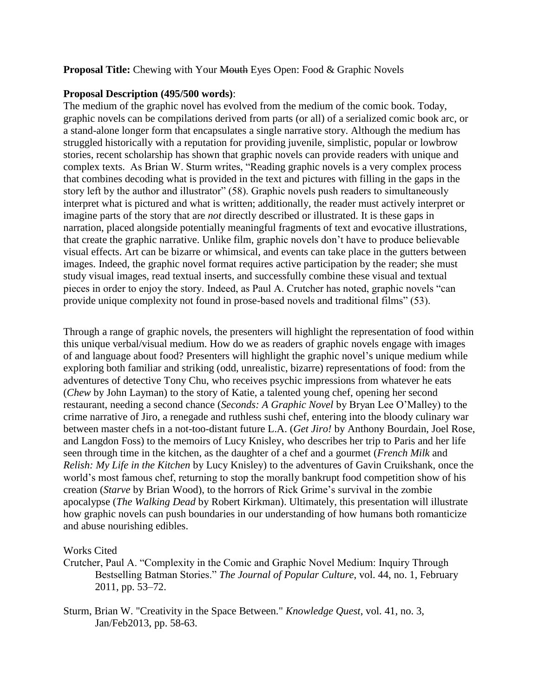# **Proposal Title:** Chewing with Your Mouth Eyes Open: Food & Graphic Novels

# **Proposal Description (495/500 words)**:

The medium of the graphic novel has evolved from the medium of the comic book. Today, graphic novels can be compilations derived from parts (or all) of a serialized comic book arc, or a stand-alone longer form that encapsulates a single narrative story. Although the medium has struggled historically with a reputation for providing juvenile, simplistic, popular or lowbrow stories, recent scholarship has shown that graphic novels can provide readers with unique and complex texts. As Brian W. Sturm writes, "Reading graphic novels is a very complex process that combines decoding what is provided in the text and pictures with filling in the gaps in the story left by the author and illustrator" (58). Graphic novels push readers to simultaneously interpret what is pictured and what is written; additionally, the reader must actively interpret or imagine parts of the story that are *not* directly described or illustrated. It is these gaps in narration, placed alongside potentially meaningful fragments of text and evocative illustrations, that create the graphic narrative. Unlike film, graphic novels don't have to produce believable visual effects. Art can be bizarre or whimsical, and events can take place in the gutters between images. Indeed, the graphic novel format requires active participation by the reader; she must study visual images, read textual inserts, and successfully combine these visual and textual pieces in order to enjoy the story. Indeed, as Paul A. Crutcher has noted, graphic novels "can provide unique complexity not found in prose-based novels and traditional films" (53).

Through a range of graphic novels, the presenters will highlight the representation of food within this unique verbal/visual medium. How do we as readers of graphic novels engage with images of and language about food? Presenters will highlight the graphic novel's unique medium while exploring both familiar and striking (odd, unrealistic, bizarre) representations of food: from the adventures of detective Tony Chu, who receives psychic impressions from whatever he eats (*Chew* by John Layman) to the story of Katie, a talented young chef, opening her second restaurant, needing a second chance (*Seconds: A Graphic Novel* by Bryan Lee O'Malley) to the crime narrative of Jiro, a renegade and ruthless sushi chef, entering into the bloody culinary war between master chefs in a not-too-distant future L.A. (*Get Jiro!* by Anthony Bourdain, Joel Rose, and Langdon Foss) to the memoirs of Lucy Knisley, who describes her trip to Paris and her life seen through time in the kitchen, as the daughter of a chef and a gourmet (*French Milk* and *Relish: My Life in the Kitchen* by Lucy Knisley) to the adventures of Gavin Cruikshank, once the world's most famous chef, returning to stop the morally bankrupt food competition show of his creation (*Starve* by Brian Wood), to the horrors of Rick Grime's survival in the zombie apocalypse (*The Walking Dead* by Robert Kirkman). Ultimately, this presentation will illustrate how graphic novels can push boundaries in our understanding of how humans both romanticize and abuse nourishing edibles.

# Works Cited

- Crutcher, Paul A. "Complexity in the Comic and Graphic Novel Medium: Inquiry Through Bestselling Batman Stories." *The Journal of Popular Culture*, vol. 44, no. 1, February 2011, pp. 53–72.
- Sturm, Brian W. "Creativity in the Space Between." *Knowledge Quest*, vol. 41, no. 3, Jan/Feb2013, pp. 58-63.